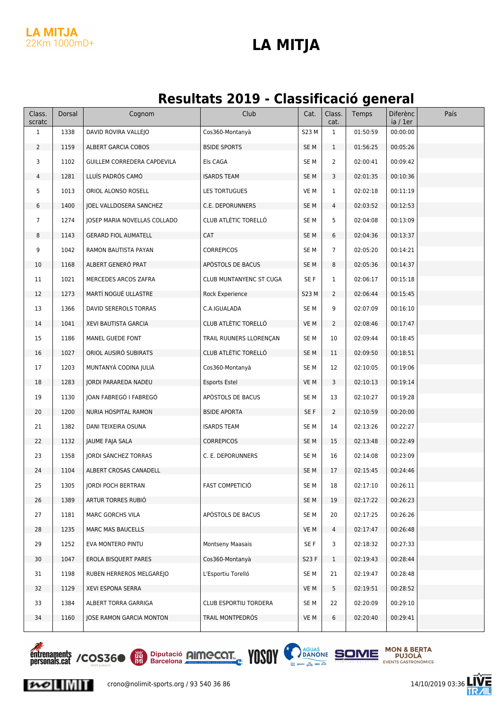#### **LA MITJA** 22Km 1000mD+

#### **LA MITJA**

#### **Resultats 2019 - Classificació general**

| Class.<br>scratc | Dorsal | Cognom                       | Club                           | Cat.            | Class.<br>cat. | Temps    | Diferènc<br>ia / 1er | País |
|------------------|--------|------------------------------|--------------------------------|-----------------|----------------|----------|----------------------|------|
| $\mathbf{1}$     | 1338   | DAVID ROVIRA VALLEJO         | Cos360-Montanyà                | S23 M           | $\mathbf{1}$   | 01:50:59 | 00:00:00             |      |
| $\overline{2}$   | 1159   | ALBERT GARCIA COBOS          | <b>BSIDE SPORTS</b>            | SE <sub>M</sub> | $\mathbf{1}$   | 01:56:25 | 00:05:26             |      |
| 3                | 1102   | GUILLEM CORREDERA CAPDEVILA  | Els CAGA                       | SE M            | 2              | 02:00:41 | 00:09:42             |      |
| 4                | 1281   | LLUÍS PADRÓS CAMÓ            | <b>ISARDS TEAM</b>             | SE <sub>M</sub> | 3              | 02:01:35 | 00:10:36             |      |
| 5                | 1013   | ORIOL ALONSO ROSELL          | <b>LES TORTUGUES</b>           | VE M            | 1              | 02:02:18 | 00:11:19             |      |
| 6                | 1400   | JOEL VALLDOSERA SANCHEZ      | C.E. DEPORUNNERS               | SE M            | 4              | 02:03:52 | 00:12:53             |      |
| 7                | 1274   | JOSEP MARIA NOVELLAS COLLADO | CLUB ATLÈTIC TORELLÓ           | SE M            | 5              | 02:04:08 | 00:13:09             |      |
| 8                | 1143   | <b>GERARD FIOL AUMATELL</b>  | <b>CAT</b>                     | SE M            | 6              | 02:04:36 | 00:13:37             |      |
| 9                | 1042   | RAMON BAUTISTA PAYAN         | <b>CORREPICOS</b>              | SE M            | 7              | 02:05:20 | 00:14:21             |      |
| 10               | 1168   | ALBERT GENERÓ PRAT           | APÒSTOLS DE BACUS              | SE M            | 8              | 02:05:36 | 00:14:37             |      |
| 11               | 1021   | MERCEDES ARCOS ZAFRA         | <b>CLUB MUNTANYENC ST CUGA</b> | SE F            | 1              | 02:06:17 | 00:15:18             |      |
| 12               | 1273   | MARTÍ NOGUÉ ULLASTRE         | Rock Experience                | S23 M           | 2              | 02:06:44 | 00:15:45             |      |
| 13               | 1366   | DAVID SEREROLS TORRAS        | C.A.IGUALADA                   | SE M            | 9              | 02:07:09 | 00:16:10             |      |
| 14               | 1041   | XEVI BAUTISTA GARCIA         | CLUB ATLÈTIC TORELLÓ           | VE M            | 2              | 02:08:46 | 00:17:47             |      |
| 15               | 1186   | MANEL GUEDE FONT             | TRAIL RUUNERS LLORENÇAN        | SE M            | 10             | 02:09:44 | 00:18:45             |      |
| 16               | 1027   | ORIOL AUSIRÓ SUBIRATS        | CLUB ATLÈTIC TORELLÓ           | SE <sub>M</sub> | 11             | 02:09:50 | 00:18:51             |      |
| 17               | 1203   | MUNTANYÀ CODINA JULIÀ        | Cos360-Montanyà                | SE M            | 12             | 02:10:05 | 00:19:06             |      |
| 18               | 1283   | JORDI PARAREDA NADEU         | <b>Esports Estel</b>           | VE M            | 3              | 02:10:13 | 00:19:14             |      |
| 19               | 1130   | JOAN FABREGÓ I FABREGÓ       | APÒSTOLS DE BACUS              | SE M            | 13             | 02:10:27 | 00:19:28             |      |
| 20               | 1200   | NURIA HOSPITAL RAMON         | <b>BSIDE APORTA</b>            | SE F            | 2              | 02:10:59 | 00:20:00             |      |
| 21               | 1382   | DANI TEIXEIRA OSUNA          | <b>ISARDS TEAM</b>             | SE M            | 14             | 02:13:26 | 00:22:27             |      |
| 22               | 1132   | JAUME FAJA SALA              | <b>CORREPICOS</b>              | SE <sub>M</sub> | 15             | 02:13:48 | 00:22:49             |      |
| 23               | 1358   | JORDI SANCHEZ TORRAS         | C. E. DEPORUNNERS              | SE M            | 16             | 02:14:08 | 00:23:09             |      |
| 24               | 1104   | ALBERT CROSAS CANADELL       |                                | SE <sub>M</sub> | 17             | 02:15:45 | 00:24:46             |      |
| 25               | 1305   | JORDI POCH BERTRAN           | FAST COMPETICIÓ                | SE <sub>M</sub> | 18             | 02:17:10 | 00:26:11             |      |
| 26               | 1389   | ARTUR TORRES RUBIO           |                                | SE <sub>M</sub> | 19             | 02:17:22 | 00:26:23             |      |
| 27               | 1181   | MARC GORCHS VILA             | APÒSTOLS DE BACUS              | SE M            | 20             | 02:17:25 | 00:26:26             |      |
| 28               | 1235   | <b>MARC MAS BAUCELLS</b>     |                                | VE M            | 4              | 02:17:47 | 00:26:48             |      |
| 29               | 1252   | EVA MONTERO PINTU            | <b>Montseny Maasais</b>        | SE F            | 3              | 02:18:32 | 00:27:33             |      |
| 30               | 1047   | EROLA BISQUERT PARES         | Cos360-Montanyà                | S23 F           | $\mathbf{1}$   | 02:19:43 | 00:28:44             |      |
| 31               | 1198   | RUBEN HERREROS MELGAREJO     | L'Esportiu Torelló             | SE M            | 21             | 02:19:47 | 00:28:48             |      |
| 32               | 1129   | XEVI ESPONA SERRA            |                                | VE M            | 5              | 02:19:51 | 00:28:52             |      |
| 33               | 1384   | ALBERT TORRA GARRIGA         | CLUB ESPORTIU TORDERA          | SE <sub>M</sub> | 22             | 02:20:09 | 00:29:10             |      |
| 34               | 1160   | JOSE RAMON GARCIA MONTON     | TRAIL MONTPEDRÓS               | VE M            | 6              | 02:20:40 | 00:29:41             |      |







 $\sim$   $\sim$   $\sim$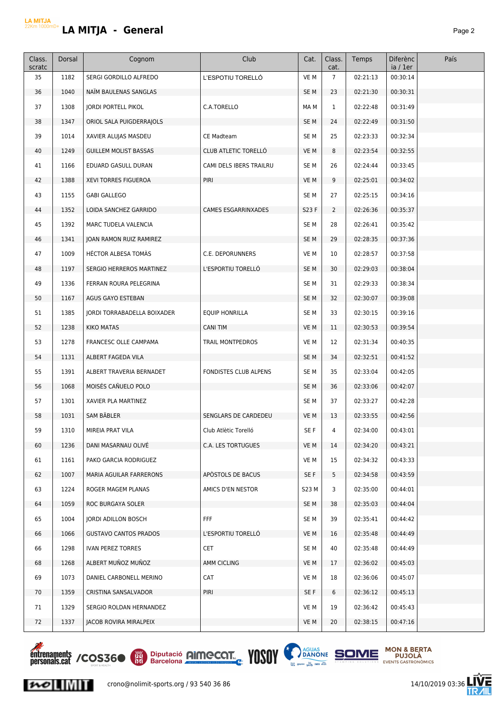| Class.<br>scratc | Dorsal | Cognom                       | Club                    | Cat.            | Class.<br>cat.  | Temps    | <b>Diferènc</b><br>ia / 1er | País |
|------------------|--------|------------------------------|-------------------------|-----------------|-----------------|----------|-----------------------------|------|
| 35               | 1182   | SERGI GORDILLO ALFREDO       | L'ESPOTIU TORELLÓ       | VE M            | $7\overline{ }$ | 02:21:13 | 00:30:14                    |      |
| 36               | 1040   | NAÏM BAULENAS SANGLAS        |                         | SE <sub>M</sub> | 23              | 02:21:30 | 00:30:31                    |      |
| 37               | 1308   | <b>IORDI PORTELL PIKOL</b>   | C.A.TORELLO             | MA M            | 1               | 02:22:48 | 00:31:49                    |      |
| 38               | 1347   | ORIOL SALA PUIGDERRAJOLS     |                         | SE <sub>M</sub> | 24              | 02:22:49 | 00:31:50                    |      |
| 39               | 1014   | XAVIER ALUJAS MASDEU         | <b>CE Madteam</b>       | SE <sub>M</sub> | 25              | 02:23:33 | 00:32:34                    |      |
| 40               | 1249   | <b>GUILLEM MOLIST BASSAS</b> | CLUB ATLETIC TORELLÓ    | VE M            | 8               | 02:23:54 | 00:32:55                    |      |
| 41               | 1166   | EDUARD GASULL DURAN          | CAMI DELS IBERS TRAILRU | SE <sub>M</sub> | 26              | 02:24:44 | 00:33:45                    |      |
| 42               | 1388   | XEVI TORRES FIGUEROA         | PIRI                    | VE M            | 9               | 02:25:01 | 00:34:02                    |      |
| 43               | 1155   | <b>GABI GALLEGO</b>          |                         | SE <sub>M</sub> | 27              | 02:25:15 | 00:34:16                    |      |
| 44               | 1352   | LOIDA SANCHEZ GARRIDO        | CAMES ESGARRINXADES     | S23 F           | $\overline{2}$  | 02:26:36 | 00:35:37                    |      |
| 45               | 1392   | MARC TUDELA VALENCIA         |                         | SE M            | 28              | 02:26:41 | 00:35:42                    |      |
| 46               | 1341   | JOAN RAMON RUIZ RAMIREZ      |                         | SE <sub>M</sub> | 29              | 02:28:35 | 00:37:36                    |      |
| 47               | 1009   | HÉCTOR ALBESA TOMÀS          | C.E. DEPORUNNERS        | VE M            | 10              | 02:28:57 | 00:37:58                    |      |
| 48               | 1197   | SERGIO HERREROS MARTINEZ     | L'ESPORTIU TORELLO      | SE <sub>M</sub> | 30              | 02:29:03 | 00:38:04                    |      |
| 49               | 1336   | FERRAN ROURA PELEGRINA       |                         | SE <sub>M</sub> | 31              | 02:29:33 | 00:38:34                    |      |
| 50               | 1167   | AGUS GAYO ESTEBAN            |                         | SE <sub>M</sub> | 32              | 02:30:07 | 00:39:08                    |      |
| 51               | 1385   | JORDI TORRABADELLA BOIXADER  | <b>EQUIP HONRILLA</b>   | SE M            | 33              | 02:30:15 | 00:39:16                    |      |
| 52               | 1238   | KIKO MATAS                   | <b>CANI TIM</b>         | VE M            | 11              | 02:30:53 | 00:39:54                    |      |
| 53               | 1278   | FRANCESC OLLE CAMPAMA        | TRAIL MONTPEDROS        | VE M            | 12              | 02:31:34 | 00:40:35                    |      |
| 54               | 1131   | ALBERT FAGEDA VILA           |                         | SE <sub>M</sub> | 34              | 02:32:51 | 00:41:52                    |      |
| 55               | 1391   | ALBERT TRAVERIA BERNADET     | FONDISTES CLUB ALPENS   | SE <sub>M</sub> | 35              | 02:33:04 | 00:42:05                    |      |
| 56               | 1068   | MOISÉS CAÑUELO POLO          |                         | SE <sub>M</sub> | 36              | 02:33:06 | 00:42:07                    |      |
| 57               | 1301   | XAVIER PLA MARTINEZ          |                         | SE M            | 37              | 02:33:27 | 00:42:28                    |      |
| 58               | 1031   | SAM BÄBLER                   | SENGLARS DE CARDEDEU    | VE M            | 13              | 02:33:55 | 00:42:56                    |      |
| 59               | 1310   | MIREIA PRAT VILA             | Club Atlètic Torelló    | SE F            | 4               | 02:34:00 | 00:43:01                    |      |
| 60               | 1236   | DANI MASARNAU OLIVE          | C.A. LES TORTUGUES      | VE M            | 14              | 02:34:20 | 00:43:21                    |      |
| 61               | 1161   | PAKO GARCIA RODRIGUEZ        |                         | VE M            | 15              | 02:34:32 | 00:43:33                    |      |
| 62               | 1007   | MARIA AGUILAR FARRERONS      | APÓSTOLS DE BACUS       | SE F            | 5               | 02:34:58 | 00:43:59                    |      |
| 63               | 1224   | ROGER MAGEM PLANAS           | AMICS D'EN NESTOR       | S23 M           | 3               | 02:35:00 | 00:44:01                    |      |
| 64               | 1059   | ROC BURGAYA SOLER            |                         | SE <sub>M</sub> | 38              | 02:35:03 | 00:44:04                    |      |
| 65               | 1004   | JORDI ADILLON BOSCH          | FFF                     | SE M            | 39              | 02:35:41 | 00:44:42                    |      |
| 66               | 1066   | <b>GUSTAVO CANTOS PRADOS</b> | L'ESPORTIU TORELLÓ      | VE M            | 16              | 02:35:48 | 00:44:49                    |      |
| 66               | 1298   | IVAN PEREZ TORRES            | <b>CET</b>              | SE M            | 40              | 02:35:48 | 00:44:49                    |      |
| 68               | 1268   | ALBERT MUÑOZ MUÑOZ           | AMM CICLING             | VE M            | 17              | 02:36:02 | 00:45:03                    |      |
| 69               | 1073   | DANIEL CARBONELL MERINO      | CAT                     | VE M            | 18              | 02:36:06 | 00:45:07                    |      |
| 70               | 1359   | CRISTINA SANSALVADOR         | PIRI                    | SE F            | 6               | 02:36:12 | 00:45:13                    |      |
| 71               | 1329   | SERGIO ROLDAN HERNANDEZ      |                         | VE M            | 19              | 02:36:42 | 00:45:43                    |      |
| 72               | 1337   | JACOB ROVIRA MIRALPEIX       |                         | VE M            | 20              | 02:38:15 | 00:47:16                    |      |



 $\sim$  INIT





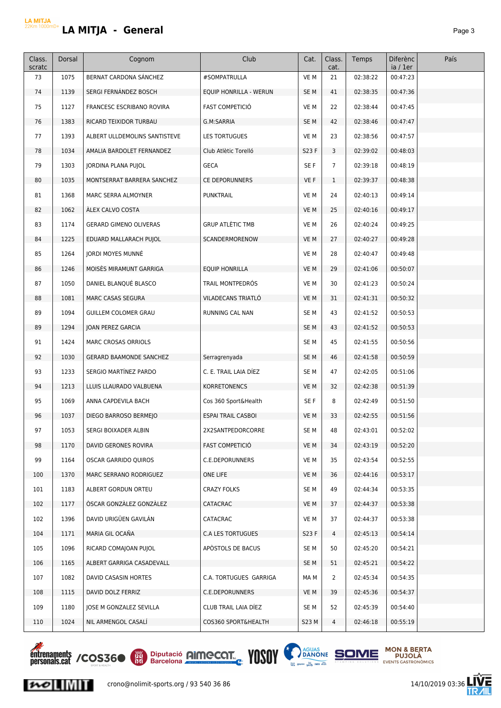| Class.<br>scratc | Dorsal | Cognom                         | Club                      | Cat.            | Class.<br>cat. | Temps    | Diferènc<br>ia / 1er | País |
|------------------|--------|--------------------------------|---------------------------|-----------------|----------------|----------|----------------------|------|
| 73               | 1075   | BERNAT CARDONA SANCHEZ         | #SOMPATRULLA              | VE M            | 21             | 02:38:22 | 00:47:23             |      |
| 74               | 1139   | SERGI FERNÁNDEZ BOSCH          | EQUIP HONRILLA - WERUN    | SE M            | 41             | 02:38:35 | 00:47:36             |      |
| 75               | 1127   | FRANCESC ESCRIBANO ROVIRA      | <b>FAST COMPETICIÓ</b>    | VE M            | 22             | 02:38:44 | 00:47:45             |      |
| 76               | 1383   | RICARD TEIXIDOR TURBAU         | G.M:SARRIA                | SE M            | 42             | 02:38:46 | 00:47:47             |      |
| 77               | 1393   | ALBERT ULLDEMOLINS SANTISTEVE  | LES TORTUGUES             | VE M            | 23             | 02:38:56 | 00:47:57             |      |
| 78               | 1034   | AMALIA BARDOLET FERNANDEZ      | Club Atlètic Torelló      | S23 F           | 3              | 02:39:02 | 00:48:03             |      |
| 79               | 1303   | JORDINA PLANA PUJOL            | <b>GECA</b>               | SE F            | $\overline{7}$ | 02:39:18 | 00:48:19             |      |
| 80               | 1035   | MONTSERRAT BARRERA SANCHEZ     | <b>CE DEPORUNNERS</b>     | VE F            | $\mathbf{1}$   | 02:39:37 | 00:48:38             |      |
| 81               | 1368   | MARC SERRA ALMOYNER            | <b>PUNKTRAIL</b>          | VE M            | 24             | 02:40:13 | 00:49:14             |      |
| 82               | 1062   | ÁLEX CALVO COSTA               |                           | VE M            | 25             | 02:40:16 | 00:49:17             |      |
| 83               | 1174   | <b>GERARD GIMENO OLIVERAS</b>  | <b>GRUP ATLÈTIC TMB</b>   | VE M            | 26             | 02:40:24 | 00:49:25             |      |
| 84               | 1225   | EDUARD MALLARACH PUJOL         | SCANDERMORENOW            | VE M            | 27             | 02:40:27 | 00:49:28             |      |
| 85               | 1264   | <b>IORDI MOYES MUNNÉ</b>       |                           | VE M            | 28             | 02:40:47 | 00:49:48             |      |
| 86               | 1246   | MOISĖS MIRAMUNT GARRIGA        | <b>EQUIP HONRILLA</b>     | VE M            | 29             | 02:41:06 | 00:50:07             |      |
| 87               | 1050   | DANIEL BLANQUÉ BLASCO          | TRAIL MONTPEDRÓS          | VE M            | 30             | 02:41:23 | 00:50:24             |      |
| 88               | 1081   | <b>MARC CASAS SEGURA</b>       | VILADECANS TRIATLÓ        | VE M            | 31             | 02:41:31 | 00:50:32             |      |
| 89               | 1094   | GUILLEM COLOMER GRAU           | RUNNING CAL NAN           | SE M            | 43             | 02:41:52 | 00:50:53             |      |
| 89               | 1294   | JOAN PEREZ GARCIA              |                           | SE <sub>M</sub> | 43             | 02:41:52 | 00:50:53             |      |
| 91               | 1424   | MARC CROSAS ORRIOLS            |                           | SE M            | 45             | 02:41:55 | 00:50:56             |      |
| 92               | 1030   | <b>GERARD BAAMONDE SANCHEZ</b> | Serragrenyada             | SE M            | 46             | 02:41:58 | 00:50:59             |      |
| 93               | 1233   | SERGIO MARTÍNEZ PARDO          | C. E. TRAIL LAIA DIEZ     | SE M            | 47             | 02:42:05 | 00:51:06             |      |
| 94               | 1213   | LLUIS LLAURADO VALBUENA        | <b>KORRETONENCS</b>       | VE M            | 32             | 02:42:38 | 00:51:39             |      |
| 95               | 1069   | ANNA CAPDEVILA BACH            | Cos 360 Sport&Health      | SE F            | 8              | 02:42:49 | 00:51:50             |      |
| 96               | 1037   | DIEGO BARROSO BERMEJO          | <b>ESPAI TRAIL CASBOI</b> | VE M            | 33             | 02:42:55 | 00:51:56             |      |
| 97               | 1053   | SERGI BOIXADER ALBIN           | 2X2SANTPEDORCORRE         | SE M            | 48             | 02:43:01 | 00:52:02             |      |
| 98               | 1170   | DAVID GERONES ROVIRA           | <b>FAST COMPETICIO</b>    | VE M            | 34             | 02:43:19 | 00:52:20             |      |
| 99               | 1164   | OSCAR GARRIDO QUIROS           | C.E.DEPORUNNERS           | VE M            | 35             | 02:43:54 | 00:52:55             |      |
| 100              | 1370   | MARC SERRANO RODRIGUEZ         | ONE LIFE                  | VE M            | 36             | 02:44:16 | 00:53:17             |      |
| 101              | 1183   | ALBERT GORDUN ORTEU            | CRAZY FOLKS               | SE M            | 49             | 02:44:34 | 00:53:35             |      |
| 102              | 1177   | ÓSCAR GONZÁLEZ GONZÁLEZ        | CATACRAC                  | VE M            | 37             | 02:44:37 | 00:53:38             |      |
| 102              | 1396   | DAVID URIGÜEN GAVILÁN          | CATACRAC                  | VE M            | 37             | 02:44:37 | 00:53:38             |      |
| 104              | 1171   | MARIA GIL OCAÑA                | C.A LES TORTUGUES         | S23 F           | 4              | 02:45:13 | 00:54:14             |      |
| 105              | 1096   | RICARD COMAJOAN PUJOL          | APÒSTOLS DE BACUS         | SE M            | 50             | 02:45:20 | 00:54:21             |      |
| 106              | 1165   | ALBERT GARRIGA CASADEVALL      |                           | SE M            | 51             | 02:45:21 | 00:54:22             |      |
| 107              | 1082   | DAVID CASASIN HORTES           | C.A. TORTUGUES GARRIGA    | MA M            | 2              | 02:45:34 | 00:54:35             |      |
| 108              | 1115   | DAVID DOLZ FERRIZ              | C.E.DEPORUNNERS           | VE M            | 39             | 02:45:36 | 00:54:37             |      |
| 109              | 1180   | JOSE M GONZALEZ SEVILLA        | CLUB TRAIL LAIA DIEZ      | SE M            | 52             | 02:45:39 | 00:54:40             |      |
| 110              | 1024   | NIL ARMENGOL CASALI            | COS360 SPORT&HEALTH       | S23 M           | 4              | 02:46:18 | 00:55:19             |      |







Ē

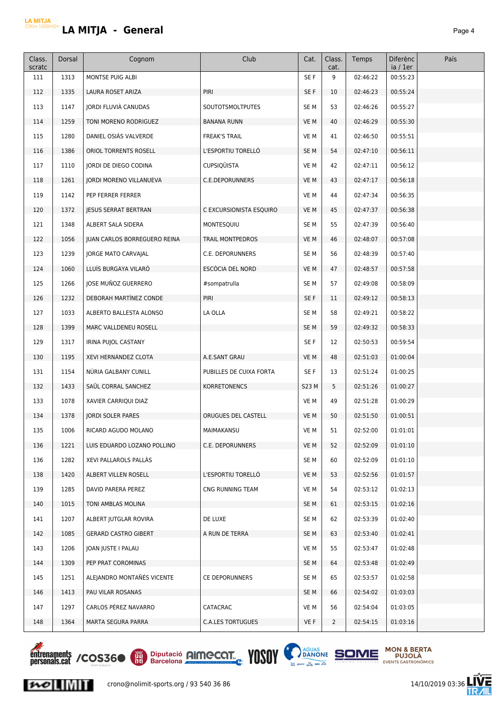# **LA MITJA - General** *Page 4*

| Class.<br>scratc | Dorsal | Cognom                              | Club                     | Cat.            | Class.<br>cat. | Temps    | Diferènc<br>ia / 1er | País |
|------------------|--------|-------------------------------------|--------------------------|-----------------|----------------|----------|----------------------|------|
| 111              | 1313   | MONTSE PUIG ALBI                    |                          | SE F            | 9              | 02:46:22 | 00:55:23             |      |
| 112              | 1335   | LAURA ROSET ARIZA                   | PIRI                     | SE F            | 10             | 02:46:23 | 00:55:24             |      |
| 113              | 1147   | <b>IORDI FLUVIÀ CANUDAS</b>         | <b>SOUTOTSMOLTPUTES</b>  | SE <sub>M</sub> | 53             | 02:46:26 | 00:55:27             |      |
| 114              | 1259   | TONI MORENO RODRIGUEZ               | <b>BANANA RUNN</b>       | VE M            | 40             | 02:46:29 | 00:55:30             |      |
| 115              | 1280   | DANIEL OSIÀS VALVERDE               | <b>FREAK'S TRAIL</b>     | VE M            | 41             | 02:46:50 | 00:55:51             |      |
| 116              | 1386   | ORIOL TORRENTS ROSELL               | L'ESPORTIU TORELLÓ       | SE <sub>M</sub> | 54             | 02:47:10 | 00:56:11             |      |
| 117              | 1110   | <b>JORDI DE DIEGO CODINA</b>        | <b>CUPSIQUISTA</b>       | VE M            | 42             | 02:47:11 | 00:56:12             |      |
| 118              | 1261   | JORDI MORENO VILLANUEVA             | C.E.DEPORUNNERS          | VE M            | 43             | 02:47:17 | 00:56:18             |      |
| 119              | 1142   | PEP FERRER FERRER                   |                          | VE M            | 44             | 02:47:34 | 00:56:35             |      |
| 120              | 1372   | <b>JESUS SERRAT BERTRAN</b>         | C EXCURSIONISTA ESQUIRO  | VE M            | 45             | 02:47:37 | 00:56:38             |      |
| 121              | 1348   | ALBERT SALA SIDERA                  | MONTESQUIU               | SE <sub>M</sub> | 55             | 02:47:39 | 00:56:40             |      |
| 122              | 1056   | <b>IUAN CARLOS BORREGUERO REINA</b> | <b>TRAIL MONTPEDROS</b>  | VE M            | 46             | 02:48:07 | 00:57:08             |      |
| 123              | 1239   | JORGE MATO CARVAJAL                 | C.E. DEPORUNNERS         | SE <sub>M</sub> | 56             | 02:48:39 | 00:57:40             |      |
| 124              | 1060   | LLUÍS BURGAYA VILARÓ                | ESCÒCIA DEL NORD         | VE M            | 47             | 02:48:57 | 00:57:58             |      |
| 125              | 1266   | JOSE MUÑOZ GUERRERO                 | #sompatrulla             | SE <sub>M</sub> | 57             | 02:49:08 | 00:58:09             |      |
| 126              | 1232   | DEBORAH MARTÍNEZ CONDE              | PIRI                     | SE F            | 11             | 02:49:12 | 00:58:13             |      |
| 127              | 1033   | ALBERTO BALLESTA ALONSO             | LA OLLA                  | SE M            | 58             | 02:49:21 | 00:58:22             |      |
| 128              | 1399   | MARC VALLDENEU ROSELL               |                          | SE <sub>M</sub> | 59             | 02:49:32 | 00:58:33             |      |
| 129              | 1317   | IRINA PUJOL CASTANY                 |                          | SE F            | 12             | 02:50:53 | 00:59:54             |      |
| 130              | 1195   | XEVI HERNÁNDEZ CLOTA                | A.E.SANT GRAU            | VE M            | 48             | 02:51:03 | 01:00:04             |      |
| 131              | 1154   | NURIA GALBANY CUNILL                | PUBILLES DE CUIXA FORTA  | SE F            | 13             | 02:51:24 | 01:00:25             |      |
| 132              | 1433   | SAÜL CORRAL SANCHEZ                 | KORRETONENCS             | S23 M           | 5              | 02:51:26 | 01:00:27             |      |
| 133              | 1078   | XAVIER CARRIQUI DIAZ                |                          | VE M            | 49             | 02:51:28 | 01:00:29             |      |
| 134              | 1378   | <b>JORDI SOLER PARES</b>            | ORUGUES DEL CASTELL      | VE M            | 50             | 02:51:50 | 01:00:51             |      |
| 135              | 1006   | RICARD AGUDO MOLANO                 | MAIMAKANSU               | VE M            | 51             | 02:52:00 | 01:01:01             |      |
| 136              | 1221   | LUIS EDUARDO LOZANO POLLINO         | C.E. DEPORUNNERS         | VE M            | 52             | 02:52:09 | 01:01:10             |      |
| 136              | 1282   | XEVI PALLAROLS PALLAS               |                          | SE <sub>M</sub> | 60             | 02:52:09 | 01:01:10             |      |
| 138              | 1420   | ALBERT VILLEN ROSELL                | L'ESPORTIU TORELLO       | VE M            | 53             | 02:52:56 | 01:01:57             |      |
| 139              | 1285   | DAVID PARERA PEREZ                  | CNG RUNNING TEAM         | VE M            | 54             | 02:53:12 | 01:02:13             |      |
| 140              | 1015   | TONI AMBLAS MOLINA                  |                          | SE <sub>M</sub> | 61             | 02:53:15 | 01:02:16             |      |
| 141              | 1207   | ALBERT JUTGLAR ROVIRA               | DE LUXE                  | SE M            | 62             | 02:53:39 | 01:02:40             |      |
| 142              | 1085   | <b>GERARD CASTRO GIBERT</b>         | A RUN DE TERRA           | SE <sub>M</sub> | 63             | 02:53:40 | 01:02:41             |      |
| 143              | 1206   | JOAN JUSTE I PALAU                  |                          | VE M            | 55             | 02:53:47 | 01:02:48             |      |
| 144              | 1309   | PEP PRAT COROMINAS                  |                          | SE <sub>M</sub> | 64             | 02:53:48 | 01:02:49             |      |
| 145              | 1251   | ALEJANDRO MONTAÑÉS VICENTE          | <b>CE DEPORUNNERS</b>    | SE M            | 65             | 02:53:57 | 01:02:58             |      |
| 146              | 1413   | PAU VILAR ROSANAS                   |                          | SE <sub>M</sub> | 66             | 02:54:02 | 01:03:03             |      |
| 147              | 1297   | CARLOS PEREZ NAVARRO                | <b>CATACRAC</b>          | VE M            | 56             | 02:54:04 | 01:03:05             |      |
| 148              | 1364   | MARTA SEGURA PARRA                  | <b>C.A.LES TORTUGUES</b> | VE F            | $\overline{2}$ | 02:54:15 | 01:03:16             |      |
|                  |        |                                     |                          |                 |                |          |                      |      |



 $|{\boldsymbol{\kappa}}\circ|$   $\|$   $\|$   $\|$   $\|$   $\|$ 





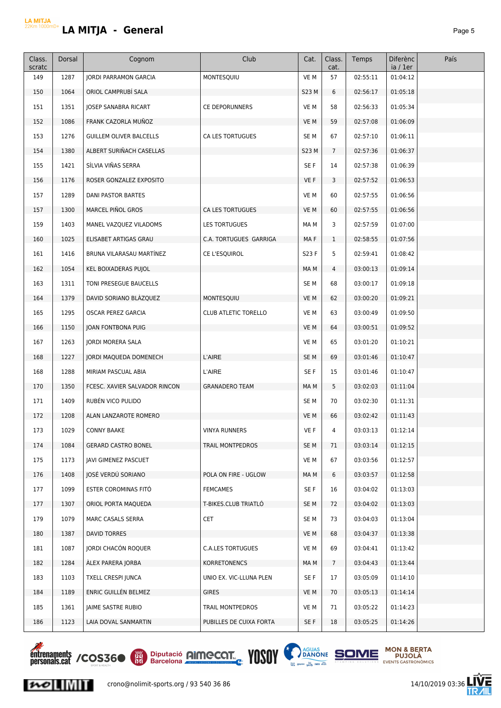| Class.<br>scratc | Dorsal | Cognom                         | Club                        | Cat.            | Class.<br>cat. | Temps    | <b>Diferènc</b><br>ia / 1er | País |
|------------------|--------|--------------------------------|-----------------------------|-----------------|----------------|----------|-----------------------------|------|
| 149              | 1287   | <b>JORDI PARRAMON GARCIA</b>   | MONTESQUIU                  | VE M            | 57             | 02:55:11 | 01:04:12                    |      |
| 150              | 1064   | ORIOL CAMPRUBÍ SALA            |                             | S23 M           | 6              | 02:56:17 | 01:05:18                    |      |
| 151              | 1351   | JOSEP SANABRA RICART           | <b>CE DEPORUNNERS</b>       | VE M            | 58             | 02:56:33 | 01:05:34                    |      |
| 152              | 1086   | FRANK CAZORLA MUÑOZ            |                             | VE M            | 59             | 02:57:08 | 01:06:09                    |      |
| 153              | 1276   | <b>GUILLEM OLIVER BALCELLS</b> | CA LES TORTUGUES            | SE <sub>M</sub> | 67             | 02:57:10 | 01:06:11                    |      |
| 154              | 1380   | ALBERT SURIÑACH CASELLAS       |                             | S23 M           | $\overline{7}$ | 02:57:36 | 01:06:37                    |      |
| 155              | 1421   | SÍLVIA VIÑAS SERRA             |                             | SE F            | 14             | 02:57:38 | 01:06:39                    |      |
| 156              | 1176   | ROSER GONZALEZ EXPOSITO        |                             | VE F            | 3              | 02:57:52 | 01:06:53                    |      |
| 157              | 1289   | DANI PASTOR BARTES             |                             | VE M            | 60             | 02:57:55 | 01:06:56                    |      |
| 157              | 1300   | MARCEL PIÑOL GROS              | CA LES TORTUGUES            | VE M            | 60             | 02:57:55 | 01:06:56                    |      |
| 159              | 1403   | MANEL VAZQUEZ VILADOMS         | <b>LES TORTUGUES</b>        | MA M            | 3              | 02:57:59 | 01:07:00                    |      |
| 160              | 1025   | ELISABET ARTIGAS GRAU          | C.A. TORTUGUES GARRIGA      | MA F            | $\mathbf{1}$   | 02:58:55 | 01:07:56                    |      |
| 161              | 1416   | BRUNA VILARASAU MARTÍNEZ       | CE L'ESQUIROL               | S23 F           | 5              | 02:59:41 | 01:08:42                    |      |
| 162              | 1054   | KEL BOIXADERAS PUJOL           |                             | MA M            | 4              | 03:00:13 | 01:09:14                    |      |
| 163              | 1311   | TONI PRESEGUE BAUCELLS         |                             | SE M            | 68             | 03:00:17 | 01:09:18                    |      |
| 164              | 1379   | DAVID SORIANO BLAZQUEZ         | MONTESQUIU                  | VE M            | 62             | 03:00:20 | 01:09:21                    |      |
| 165              | 1295   | OSCAR PEREZ GARCIA             | <b>CLUB ATLETIC TORELLO</b> | VE M            | 63             | 03:00:49 | 01:09:50                    |      |
| 166              | 1150   | JOAN FONTBONA PUIG             |                             | VE M            | 64             | 03:00:51 | 01:09:52                    |      |
| 167              | 1263   | JORDI MORERA SALA              |                             | VE M            | 65             | 03:01:20 | 01:10:21                    |      |
| 168              | 1227   | JORDI MAQUEDA DOMENECH         | L'AIRE                      | SE <sub>M</sub> | 69             | 03:01:46 | 01:10:47                    |      |
| 168              | 1288   | MIRIAM PASCUAL ABIA            | L'AIRE                      | SE F            | 15             | 03:01:46 | 01:10:47                    |      |
| 170              | 1350   | FCESC. XAVIER SALVADOR RINCON  | <b>GRANADERO TEAM</b>       | MA M            | 5              | 03:02:03 | 01:11:04                    |      |
| 171              | 1409   | RUBÉN VICO PULIDO              |                             | SE <sub>M</sub> | 70             | 03:02:30 | 01:11:31                    |      |
| 172              | 1208   | ALAN LANZAROTE ROMERO          |                             | VE M            | 66             | 03:02:42 | 01:11:43                    |      |
| 173              | 1029   | <b>CONNY BAAKE</b>             | VINYA RUNNERS               | VE F            | 4              | 03:03:13 | 01:12:14                    |      |
| 174              | 1084   | <b>GERARD CASTRO BONEL</b>     | TRAIL MONTPEDROS            | SE M            | 71             | 03:03:14 | 01:12:15                    |      |
| 175              | 1173   | JAVI GIMENEZ PASCUET           |                             | VE M            | 67             | 03:03:56 | 01:12:57                    |      |
| 176              | 1408   | JOSÉ VERDÚ SORIANO             | POLA ON FIRE - UGLOW        | MA M            | 6              | 03:03:57 | 01:12:58                    |      |
| 177              | 1099   | ESTER COROMINAS FITÓ           | FEMCAMES                    | SE F            | 16             | 03:04:02 | 01:13:03                    |      |
| 177              | 1307   | ORIOL PORTA MAQUEDA            | T-BIKES.CLUB TRIATLO        | SE M            | 72             | 03:04:02 | 01:13:03                    |      |
| 179              | 1079   | MARC CASALS SERRA              | <b>CET</b>                  | SE M            | 73             | 03:04:03 | 01:13:04                    |      |
| 180              | 1387   | DAVID TORRES                   |                             | VE M            | 68             | 03:04:37 | 01:13:38                    |      |
| 181              | 1087   | JORDI CHACÓN ROQUER            | <b>C.A.LES TORTUGUES</b>    | VE M            | 69             | 03:04:41 | 01:13:42                    |      |
| 182              | 1284   | ALEX PARERA JORBA              | <b>KORRETONENCS</b>         | MA M            | 7 <sup>7</sup> | 03:04:43 | 01:13:44                    |      |
| 183              | 1103   | <b>TXELL CRESPI JUNCA</b>      | UNIO EX. VIC-LLUNA PLEN     | SE F            | 17             | 03:05:09 | 01:14:10                    |      |
| 184              | 1189   | ENRIC GUILLÉN BELMEZ           | <b>GIRES</b>                | VE M            | 70             | 03:05:13 | 01:14:14                    |      |
| 185              | 1361   | JAIME SASTRE RUBIO             | TRAIL MONTPEDROS            | VE M            | 71             | 03:05:22 | 01:14:23                    |      |
| 186              | 1123   | LAIA DOVAL SANMARTIN           | PUBILLES DE CUIXA FORTA     | SE F            | 18             | 03:05:25 | 01:14:26                    |      |



 $|{\boldsymbol n}{\boldsymbol \sigma}|$   $\|{\boldsymbol \eta}\|$ 



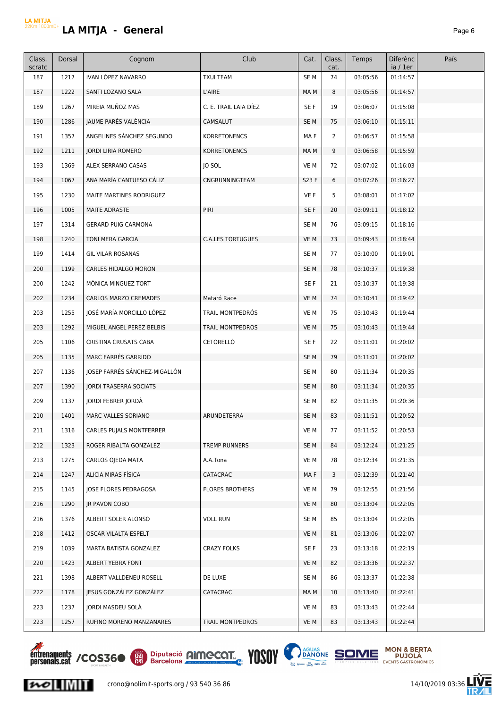|--|--|

| Class.<br>scratc | Dorsal | Cognom                        | Club                     | Cat.            | Class.<br>cat. | Temps    | <b>Diferènc</b><br>ia / 1er | País |
|------------------|--------|-------------------------------|--------------------------|-----------------|----------------|----------|-----------------------------|------|
| 187              | 1217   | IVAN LÓPEZ NAVARRO            | <b>TXUI TEAM</b>         | SE <sub>M</sub> | 74             | 03:05:56 | 01:14:57                    |      |
| 187              | 1222   | SANTI LOZANO SALA             | L'AIRE                   | MA M            | 8              | 03:05:56 | 01:14:57                    |      |
| 189              | 1267   | MIREIA MUÑOZ MAS              | C. E. TRAIL LAIA DÍEZ    | SE F            | 19             | 03:06:07 | 01:15:08                    |      |
| 190              | 1286   | JAUME PARÉS VALÈNCIA          | CAMSALUT                 | SE <sub>M</sub> | 75             | 03:06:10 | 01:15:11                    |      |
| 191              | 1357   | ANGELINES SANCHEZ SEGUNDO     | <b>KORRETONENCS</b>      | MA F            | $\overline{2}$ | 03:06:57 | 01:15:58                    |      |
| 192              | 1211   | <b>JORDI LIRIA ROMERO</b>     | <b>KORRETONENCS</b>      | MA M            | 9              | 03:06:58 | 01:15:59                    |      |
| 193              | 1369   | ALEX SERRANO CASAS            | JO SOL                   | VE M            | 72             | 03:07:02 | 01:16:03                    |      |
| 194              | 1067   | ANA MARÍA CANTUESO CÁLIZ      | CNGRUNNINGTEAM           | S23 F           | 6              | 03:07:26 | 01:16:27                    |      |
| 195              | 1230   | MAITE MARTINES RODRIGUEZ      |                          | VE F            | 5              | 03:08:01 | 01:17:02                    |      |
| 196              | 1005   | MAITE ADRASTE                 | PIRI                     | SE F            | 20             | 03:09:11 | 01:18:12                    |      |
| 197              | 1314   | <b>GERARD PUIG CARMONA</b>    |                          | SE <sub>M</sub> | 76             | 03:09:15 | 01:18:16                    |      |
| 198              | 1240   | TONI MERA GARCIA              | <b>C.A.LES TORTUGUES</b> | VE M            | 73             | 03:09:43 | 01:18:44                    |      |
| 199              | 1414   | <b>GIL VILAR ROSANAS</b>      |                          | SE <sub>M</sub> | 77             | 03:10:00 | 01:19:01                    |      |
| 200              | 1199   | <b>CARLES HIDALGO MORON</b>   |                          | SE <sub>M</sub> | 78             | 03:10:37 | 01:19:38                    |      |
| 200              | 1242   | MÒNICA MINGUEZ TORT           |                          | SE F            | 21             | 03:10:37 | 01:19:38                    |      |
| 202              | 1234   | CARLOS MARZO CREMADES         | Mataró Race              | VE M            | 74             | 03:10:41 | 01:19:42                    |      |
| 203              | 1255   | JOSÉ MARÍA MORCILLO LÓPEZ     | TRAIL MONTPEDRÓS         | VE M            | 75             | 03:10:43 | 01:19:44                    |      |
| 203              | 1292   | MIGUEL ANGEL PERÉZ BELBIS     | <b>TRAIL MONTPEDROS</b>  | VE M            | 75             | 03:10:43 | 01:19:44                    |      |
| 205              | 1106   | CRISTINA CRUSATS CABA         | CETORELLÓ                | SE F            | 22             | 03:11:01 | 01:20:02                    |      |
| 205              | 1135   | MARC FARRÉS GARRIDO           |                          | SE <sub>M</sub> | 79             | 03:11:01 | 01:20:02                    |      |
| 207              | 1136   | JOSEP FARRÉS SÁNCHEZ-MIGALLÓN |                          | SE <sub>M</sub> | 80             | 03:11:34 | 01:20:35                    |      |
| 207              | 1390   | <b>JORDI TRASERRA SOCIATS</b> |                          | SE <sub>M</sub> | 80             | 03:11:34 | 01:20:35                    |      |
| 209              | 1137   | JORDI FEBRER JORDÀ            |                          | SE <sub>M</sub> | 82             | 03:11:35 | 01:20:36                    |      |
| 210              | 1401   | MARC VALLES SORIANO           | ARUNDETERRA              | SE <sub>M</sub> | 83             | 03:11:51 | 01:20:52                    |      |
| 211              | 1316   | CARLES PUJALS MONTFERRER      |                          | VE M            | 77             | 03:11:52 | 01:20:53                    |      |
| 212              | 1323   | ROGER RIBALTA GONZALEZ        | TREMP RUNNERS            | SE <sub>M</sub> | 84             | 03:12:24 | 01:21:25                    |      |
| 213              | 1275   | CARLOS OJEDA MATA             | A.A.Tona                 | VE M            | 78             | 03:12:34 | 01:21:35                    |      |
| 214              | 1247   | ALICIA MIRAS FÍSICA           | CATACRAC                 | MA F            | 3              | 03:12:39 | 01:21:40                    |      |
| 215              | 1145   | JOSE FLORES PEDRAGOSA         | <b>FLORES BROTHERS</b>   | VE M            | 79             | 03:12:55 | 01:21:56                    |      |
| 216              | 1290   | <b>IR PAVON COBO</b>          |                          | VE M            | 80             | 03:13:04 | 01:22:05                    |      |
| 216              | 1376   | ALBERT SOLER ALONSO           | <b>VOLL RUN</b>          | SE <sub>M</sub> | 85             | 03:13:04 | 01:22:05                    |      |
| 218              | 1412   | OSCAR VILALTA ESPELT          |                          | VE M            | 81             | 03:13:06 | 01:22:07                    |      |
| 219              | 1039   | MARTA BATISTA GONZALEZ        | <b>CRAZY FOLKS</b>       | SE F            | 23             | 03:13:18 | 01:22:19                    |      |
| 220              | 1423   | ALBERT YEBRA FONT             |                          | VE M            | 82             | 03:13:36 | 01:22:37                    |      |
| 221              | 1398   | ALBERT VALLDENEU ROSELL       | DE LUXE                  | SE <sub>M</sub> | 86             | 03:13:37 | 01:22:38                    |      |
| 222              | 1178   | JESUS GONZÁLEZ GONZÁLEZ       | CATACRAC                 | MA M            | 10             | 03:13:40 | 01:22:41                    |      |
| 223              | 1237   | JORDI MASDEU SOLA             |                          | VE M            | 83             | 03:13:43 | 01:22:44                    |      |
| 223              | 1257   | RUFINO MORENO MANZANARES      | TRAIL MONTPEDROS         | VE M            | 83             | 03:13:43 | 01:22:44                    |      |
|                  |        |                               |                          |                 |                |          |                             |      |



 $\sim$   $\sim$ 





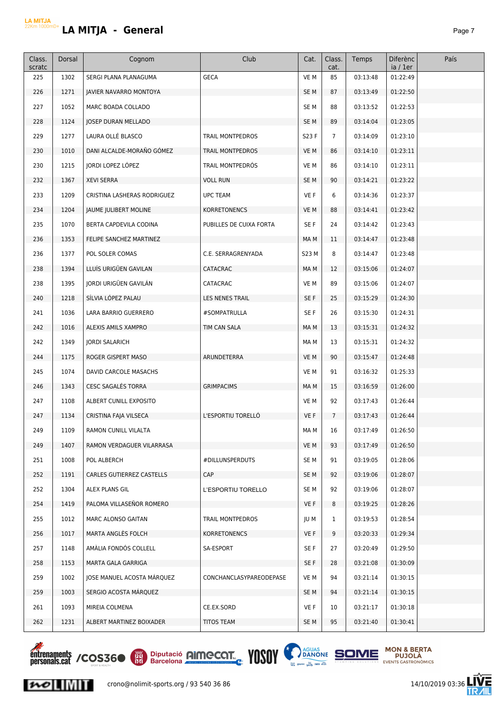# **LA MITJA LA MITJA - General**

| Class.<br>scratc | Dorsal | Cognom                      | Club                    | Cat.            | Class.<br>cat. | Temps    | Diferènc<br>ia / 1er | País |
|------------------|--------|-----------------------------|-------------------------|-----------------|----------------|----------|----------------------|------|
| 225              | 1302   | SERGI PLANA PLANAGUMA       | <b>GECA</b>             | VE M            | 85             | 03:13:48 | 01:22:49             |      |
| 226              | 1271   | JAVIER NAVARRO MONTOYA      |                         | SE <sub>M</sub> | 87             | 03:13:49 | 01:22:50             |      |
| 227              | 1052   | MARC BOADA COLLADO          |                         | SE <sub>M</sub> | 88             | 03:13:52 | 01:22:53             |      |
| 228              | 1124   | <b>JOSEP DURAN MELLADO</b>  |                         | SE <sub>M</sub> | 89             | 03:14:04 | 01:23:05             |      |
| 229              | 1277   | LAURA OLLÉ BLASCO           | TRAIL MONTPEDROS        | S23 F           | $\overline{7}$ | 03:14:09 | 01:23:10             |      |
| 230              | 1010   | DANI ALCALDE-MORAÑO GÓMEZ   | TRAIL MONTPEDROS        | VE M            | 86             | 03:14:10 | 01:23:11             |      |
| 230              | 1215   | JORDI LOPEZ LÓPEZ           | TRAIL MONTPEDRÓS        | VE M            | 86             | 03:14:10 | 01:23:11             |      |
| 232              | 1367   | <b>XEVI SERRA</b>           | <b>VOLL RUN</b>         | SE <sub>M</sub> | 90             | 03:14:21 | 01:23:22             |      |
| 233              | 1209   | CRISTINA LASHERAS RODRIGUEZ | <b>UPC TEAM</b>         | VE F            | 6              | 03:14:36 | 01:23:37             |      |
| 234              | 1204   | JAUME JULIBERT MOLINE       | <b>KORRETONENCS</b>     | VE M            | 88             | 03:14:41 | 01:23:42             |      |
| 235              | 1070   | BERTA CAPDEVILA CODINA      | PUBILLES DE CUIXA FORTA | SE F            | 24             | 03:14:42 | 01:23:43             |      |
| 236              | 1353   | FELIPE SANCHEZ MARTINEZ     |                         | MA M            | 11             | 03:14:47 | 01:23:48             |      |
| 236              | 1377   | POL SOLER COMAS             | C.E. SERRAGRENYADA      | S23 M           | 8              | 03:14:47 | 01:23:48             |      |
| 238              | 1394   | LLUÍS URIGÜEN GAVILAN       | CATACRAC                | MA M            | 12             | 03:15:06 | 01:24:07             |      |
| 238              | 1395   | IORDI URIGÜEN GAVILÁN       | CATACRAC                | VE M            | 89             | 03:15:06 | 01:24:07             |      |
| 240              | 1218   | SÍLVIA LÓPEZ PALAU          | LES NENES TRAIL         | SE F            | 25             | 03:15:29 | 01:24:30             |      |
| 241              | 1036   | LARA BARRIO GUERRERO        | #SOMPATRULLA            | SE F            | 26             | 03:15:30 | 01:24:31             |      |
| 242              | 1016   | ALEXIS AMILS XAMPRO         | TIM CAN SALA            | MA M            | 13             | 03:15:31 | 01:24:32             |      |
| 242              | 1349   | <b>JORDI SALARICH</b>       |                         | MA M            | 13             | 03:15:31 | 01:24:32             |      |
| 244              | 1175   | ROGER GISPERT MASO          | ARUNDETERRA             | VE M            | 90             | 03:15:47 | 01:24:48             |      |
| 245              | 1074   | DAVID CARCOLE MASACHS       |                         | VE M            | 91             | 03:16:32 | 01:25:33             |      |
| 246              | 1343   | <b>CESC SAGALES TORRA</b>   | <b>GRIMPACIMS</b>       | MA M            | 15             | 03:16:59 | 01:26:00             |      |
| 247              | 1108   | ALBERT CUNILL EXPOSITO      |                         | VE M            | 92             | 03:17:43 | 01:26:44             |      |
| 247              | 1134   | CRISTINA FAJA VILSECA       | L'ESPORTIU TORELLÓ      | VE F            | $\overline{7}$ | 03:17:43 | 01:26:44             |      |
| 249              | 1109   | RAMON CUNILL VILALTA        |                         | MA M            | 16             | 03:17:49 | 01:26:50             |      |
| 249              | 1407   | RAMON VERDAGUER VILARRASA   |                         | VE M            | 93             | 03:17:49 | 01:26:50             |      |
| 251              | 1008   | POL ALBERCH                 | #DILLUNSPERDUTS         | SE <sub>M</sub> | 91             | 03:19:05 | 01:28:06             |      |
| 252              | 1191   | CARLES GUTIERREZ CASTELLS   | <b>CAP</b>              | SE <sub>M</sub> | 92             | 03:19:06 | 01:28:07             |      |
| 252              | 1304   | ALEX PLANS GIL              | L'ESPORTIU TORELLO      | SE M            | 92             | 03:19:06 | 01:28:07             |      |
| 254              | 1419   | PALOMA VILLASEÑOR ROMERO    |                         | VE F            | 8              | 03:19:25 | 01:28:26             |      |
| 255              | 1012   | MARC ALONSO GAITAN          | TRAIL MONTPEDROS        | JU M            | $\mathbf{1}$   | 03:19:53 | 01:28:54             |      |
| 256              | 1017   | MARTA ANGLÉS FOLCH          | <b>KORRETONENCS</b>     | VE F            | 9              | 03:20:33 | 01:29:34             |      |
| 257              | 1148   | AMÀLIA FONDÓS COLLELL       | SA-ESPORT               | SE F            | 27             | 03:20:49 | 01:29:50             |      |
| 258              | 1153   | MARTA GALA GARRIGA          |                         | SE F            | 28             | 03:21:08 | 01:30:09             |      |
| 259              | 1002   | JOSE MANUEL ACOSTA MARQUEZ  | CONCHANCLASYPAREODEPASE | VE M            | 94             | 03:21:14 | 01:30:15             |      |
| 259              | 1003   | SERGIO ACOSTA MÁRQUEZ       |                         | SE <sub>M</sub> | 94             | 03:21:14 | 01:30:15             |      |
| 261              | 1093   | MIREIA COLMENA              | CE.EX.SORD              | VE F            | 10             | 03:21:17 | 01:30:18             |      |
| 262              | 1231   | ALBERT MARTINEZ BOIXADER    | <b>TITOS TEAM</b>       | SE M            | 95             | 03:21:40 | 01:30:41             |      |



 $\sim$   $\sim$ 





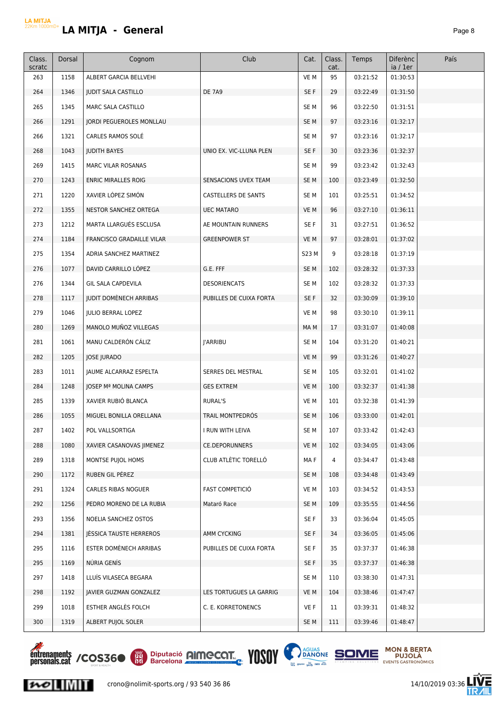| Class.<br>scratc | Dorsal | Cognom                           | Club                    | Cat.            | Class.<br>cat. | Temps    | <b>Diferènc</b><br>ia / 1er | País |
|------------------|--------|----------------------------------|-------------------------|-----------------|----------------|----------|-----------------------------|------|
| 263              | 1158   | <b>ALBERT GARCIA BELLVEHI</b>    |                         | VE M            | 95             | 03:21:52 | 01:30:53                    |      |
| 264              | 1346   | <b>JUDIT SALA CASTILLO</b>       | <b>DE 7A9</b>           | SE F            | 29             | 03:22:49 | 01:31:50                    |      |
| 265              | 1345   | MARC SALA CASTILLO               |                         | SE <sub>M</sub> | 96             | 03:22:50 | 01:31:51                    |      |
| 266              | 1291   | JORDI PEGUEROLES MONLLAU         |                         | SE <sub>M</sub> | 97             | 03:23:16 | 01:32:17                    |      |
| 266              | 1321   | CARLES RAMOS SOLÉ                |                         | SE M            | 97             | 03:23:16 | 01:32:17                    |      |
| 268              | 1043   | <b>JUDITH BAYES</b>              | UNIO EX. VIC-LLUNA PLEN | SE F            | 30             | 03:23:36 | 01:32:37                    |      |
| 269              | 1415   | <b>MARC VILAR ROSANAS</b>        |                         | SE <sub>M</sub> | 99             | 03:23:42 | 01:32:43                    |      |
| 270              | 1243   | <b>ENRIC MIRALLES ROIG</b>       | SENSACIONS UVEX TEAM    | SE <sub>M</sub> | 100            | 03:23:49 | 01:32:50                    |      |
| 271              | 1220   | XAVIER LÓPEZ SIMÓN               | CASTELLERS DE SANTS     | SE <sub>M</sub> | 101            | 03:25:51 | 01:34:52                    |      |
| 272              | 1355   | NESTOR SANCHEZ ORTEGA            | <b>UEC MATARO</b>       | VE M            | 96             | 03:27:10 | 01:36:11                    |      |
| 273              | 1212   | MARTA LLARGUÉS ESCLUSA           | AE MOUNTAIN RUNNERS     | SE F            | 31             | 03:27:51 | 01:36:52                    |      |
| 274              | 1184   | <b>FRANCISCO GRADAILLE VILAR</b> | <b>GREENPOWER ST</b>    | VE M            | 97             | 03:28:01 | 01:37:02                    |      |
| 275              | 1354   | ADRIA SANCHEZ MARTINEZ           |                         | S23 M           | 9              | 03:28:18 | 01:37:19                    |      |
| 276              | 1077   | DAVID CARRILLO LÓPEZ             | G.E. FFF                | SE <sub>M</sub> | 102            | 03:28:32 | 01:37:33                    |      |
| 276              | 1344   | <b>GIL SALA CAPDEVILA</b>        | <b>DESORIENCATS</b>     | SE <sub>M</sub> | 102            | 03:28:32 | 01:37:33                    |      |
| 278              | 1117   | <b>JUDIT DOMÉNECH ARRIBAS</b>    | PUBILLES DE CUIXA FORTA | SE F            | 32             | 03:30:09 | 01:39:10                    |      |
| 279              | 1046   | <b>JULIO BERRAL LOPEZ</b>        |                         | VE M            | 98             | 03:30:10 | 01:39:11                    |      |
| 280              | 1269   | MANOLO MUÑOZ VILLEGAS            |                         | MA M            | 17             | 03:31:07 | 01:40:08                    |      |
| 281              | 1061   | MANU CALDERÓN CÁLIZ              | <b>I'ARRIBU</b>         | SE <sub>M</sub> | 104            | 03:31:20 | 01:40:21                    |      |
| 282              | 1205   | <b>JOSE JURADO</b>               |                         | VE M            | 99             | 03:31:26 | 01:40:27                    |      |
| 283              | 1011   | JAUME ALCARRAZ ESPELTA           | SERRES DEL MESTRAL      | SE <sub>M</sub> | 105            | 03:32:01 | 01:41:02                    |      |
| 284              | 1248   | JOSEP Mª MOLINA CAMPS            | <b>GES EXTREM</b>       | VE M            | 100            | 03:32:37 | 01:41:38                    |      |
| 285              | 1339   | XAVIER RUBIÓ BLANCA              | RURAL'S                 | VE M            | 101            | 03:32:38 | 01:41:39                    |      |
| 286              | 1055   | MIGUEL BONILLA ORELLANA          | TRAIL MONTPEDRÓS        | SE M            | 106            | 03:33:00 | 01:42:01                    |      |
| 287              | 1402   | POL VALLSORTIGA                  | I RUN WITH LEIVA        | SE M            | 107            | 03:33:42 | 01:42:43                    |      |
| 288              | 1080   | XAVIER CASANOVAS JIMENEZ         | <b>CE.DEPORUNNERS</b>   | VE M            | 102            | 03:34:05 | 01:43:06                    |      |
| 289              | 1318   | MONTSE PUJOL HOMS                | CLUB ATLÈTIC TORELLÓ    | MA F            | 4              | 03:34:47 | 01:43:48                    |      |
| 290              | 1172   | RUBEN GIL PEREZ                  |                         | SE M            | 108            | 03:34:48 | 01:43:49                    |      |
| 291              | 1324   | CARLES RIBAS NOGUER              | <b>FAST COMPETICIÓ</b>  | VE M            | 103            | 03:34:52 | 01:43:53                    |      |
| 292              | 1256   | PEDRO MORENO DE LA RUBIA         | Mataró Race             | SE M            | 109            | 03:35:55 | 01:44:56                    |      |
| 293              | 1356   | NOELIA SANCHEZ OSTOS             |                         | SE F            | 33             | 03:36:04 | 01:45:05                    |      |
| 294              | 1381   | JESSICA TAUSTE HERREROS          | AMM CYCKING             | SE F            | 34             | 03:36:05 | 01:45:06                    |      |
| 295              | 1116   | ESTER DOMÈNECH ARRIBAS           | PUBILLES DE CUIXA FORTA | SE F            | 35             | 03:37:37 | 01:46:38                    |      |
| 295              | 1169   | NÚRIA GENÍS                      |                         | SE F            | 35             | 03:37:37 | 01:46:38                    |      |
| 297              | 1418   | LLUÍS VILASECA BEGARA            |                         | SE M            | 110            | 03:38:30 | 01:47:31                    |      |
| 298              | 1192   | JAVIER GUZMAN GONZALEZ           | LES TORTUGUES LA GARRIG | VE M            | 104            | 03:38:46 | 01:47:47                    |      |
| 299              | 1018   | ESTHER ANGLES FOLCH              | C. E. KORRETONENCS      | VE F            | 11             | 03:39:31 | 01:48:32                    |      |
| 300              | 1319   | ALBERT PUJOL SOLER               |                         | SE M            | 111            | 03:39:46 | 01:48:47                    |      |

**Entrenaments / COS360** EX Diputació **AIMECOT.** VOSOV D'AQUAS SOME MON & BERTA







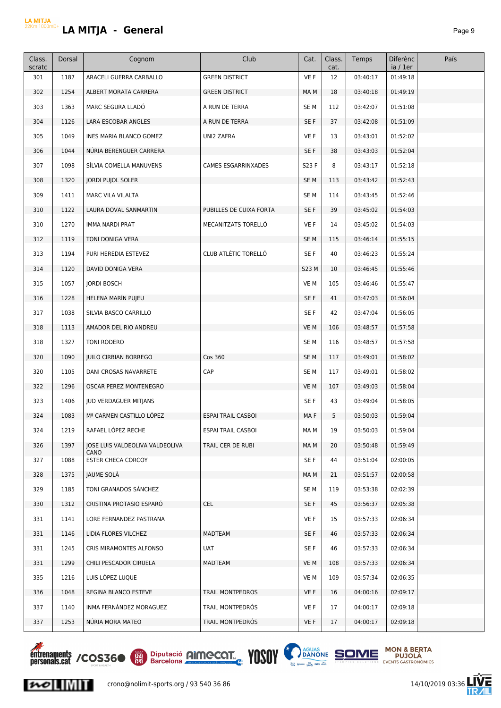| Class.<br>scratc | Dorsal | Cognom                                  | Club                      | Cat.            | Class.<br>cat. | Temps    | <b>Diferènc</b><br>ia / 1er | País |
|------------------|--------|-----------------------------------------|---------------------------|-----------------|----------------|----------|-----------------------------|------|
| 301              | 1187   | ARACELI GUERRA CARBALLO                 | <b>GREEN DISTRICT</b>     | VE F            | 12             | 03:40:17 | 01:49:18                    |      |
| 302              | 1254   | ALBERT MORATA CARRERA                   | <b>GREEN DISTRICT</b>     | MA M            | 18             | 03:40:18 | 01:49:19                    |      |
| 303              | 1363   | MARC SEGURA LLADO                       | A RUN DE TERRA            | SE <sub>M</sub> | 112            | 03:42:07 | 01:51:08                    |      |
| 304              | 1126   | LARA ESCOBAR ANGLES                     | A RUN DE TERRA            | SE F            | 37             | 03:42:08 | 01:51:09                    |      |
| 305              | 1049   | INES MARIA BLANCO GOMEZ                 | UNI2 ZAFRA                | VE F            | 13             | 03:43:01 | 01:52:02                    |      |
| 306              | 1044   | NÚRIA BERENGUER CARRERA                 |                           | SE F            | 38             | 03:43:03 | 01:52:04                    |      |
| 307              | 1098   | SÍLVIA COMELLA MANUVENS                 | CAMES ESGARRINXADES       | S23 F           | 8              | 03:43:17 | 01:52:18                    |      |
| 308              | 1320   | JORDI PUJOL SOLER                       |                           | SE <sub>M</sub> | 113            | 03:43:42 | 01:52:43                    |      |
| 309              | 1411   | MARC VILA VILALTA                       |                           | SE <sub>M</sub> | 114            | 03:43:45 | 01:52:46                    |      |
| 310              | 1122   | LAURA DOVAL SANMARTIN                   | PUBILLES DE CUIXA FORTA   | SE F            | 39             | 03:45:02 | 01:54:03                    |      |
| 310              | 1270   | IMMA NARDI PRAT                         | MECANITZATS TORELLO       | VE F            | 14             | 03:45:02 | 01:54:03                    |      |
| 312              | 1119   | TONI DONIGA VERA                        |                           | SE <sub>M</sub> | 115            | 03:46:14 | 01:55:15                    |      |
| 313              | 1194   | PURI HEREDIA ESTEVEZ                    | CLUB ATLÈTIC TORELLÓ      | SE F            | 40             | 03:46:23 | 01:55:24                    |      |
| 314              | 1120   | DAVID DONIGA VERA                       |                           | S23 M           | 10             | 03:46:45 | 01:55:46                    |      |
| 315              | 1057   | <b>JORDI BOSCH</b>                      |                           | VE M            | 105            | 03:46:46 | 01:55:47                    |      |
| 316              | 1228   | HELENA MARÍN PUJEU                      |                           | SE F            | 41             | 03:47:03 | 01:56:04                    |      |
| 317              | 1038   | SILVIA BASCO CARRILLO                   |                           | SE F            | 42             | 03:47:04 | 01:56:05                    |      |
| 318              | 1113   | AMADOR DEL RIO ANDREU                   |                           | VE M            | 106            | 03:48:57 | 01:57:58                    |      |
| 318              | 1327   | TONI RODERO                             |                           | SE <sub>M</sub> | 116            | 03:48:57 | 01:57:58                    |      |
| 320              | 1090   | <b>JUILO CIRBIAN BORREGO</b>            | Cos 360                   | SE <sub>M</sub> | 117            | 03:49:01 | 01:58:02                    |      |
| 320              | 1105   | DANI CROSAS NAVARRETE                   | CAP                       | SE <sub>M</sub> | 117            | 03:49:01 | 01:58:02                    |      |
| 322              | 1296   | OSCAR PEREZ MONTENEGRO                  |                           | VE M            | 107            | 03:49:03 | 01:58:04                    |      |
| 323              | 1406   | JUD VERDAGUER MITJANS                   |                           | SE F            | 43             | 03:49:04 | 01:58:05                    |      |
| 324              | 1083   | Mª CARMEN CASTILLO LÓPEZ                | <b>ESPAI TRAIL CASBOI</b> | MA F            | 5              | 03:50:03 | 01:59:04                    |      |
| 324              | 1219   | RAFAEL LOPEZ RECHE                      | <b>ESPAI TRAIL CASBOI</b> | MA M            | 19             | 03:50:03 | 01:59:04                    |      |
| 326              | 1397   | JOSE LUIS VALDEOLIVA VALDEOLIVA<br>CANO | TRAIL CER DE RUBI         | MA M            | 20             | 03:50:48 | 01:59:49                    |      |
| 327              | 1088   | ESTER CHECA CORCOY                      |                           | SE F            | 44             | 03:51:04 | 02:00:05                    |      |
| 328              | 1375   | JAUME SOLA                              |                           | MA M            | 21             | 03:51:57 | 02:00:58                    |      |
| 329              | 1185   | TONI GRANADOS SANCHEZ                   |                           | SE M            | 119            | 03:53:38 | 02:02:39                    |      |
| 330              | 1312   | CRISTINA PROTASIO ESPARÓ                | <b>CEL</b>                | SE F            | 45             | 03:56:37 | 02:05:38                    |      |
| 331              | 1141   | LORE FERNANDEZ PASTRANA                 |                           | VE F            | 15             | 03:57:33 | 02:06:34                    |      |
| 331              | 1146   | LIDIA FLORES VILCHEZ                    | MADTEAM                   | SE F            | 46             | 03:57:33 | 02:06:34                    |      |
| 331              | 1245   | CRIS MIRAMONTES ALFONSO                 | UAT                       | SE F            | 46             | 03:57:33 | 02:06:34                    |      |
| 331              | 1299   | CHILI PESCADOR CIRUELA                  | <b>MADTEAM</b>            | VE M            | 108            | 03:57:33 | 02:06:34                    |      |
| 335              | 1216   | LUIS LOPEZ LUQUE                        |                           | VE M            | 109            | 03:57:34 | 02:06:35                    |      |
| 336              | 1048   | REGINA BLANCO ESTEVE                    | TRAIL MONTPEDROS          | VE F            | 16             | 04:00:16 | 02:09:17                    |      |
| 337              | 1140   | INMA FERNÁNDEZ MORAGUEZ                 | TRAIL MONTPEDRÓS          | VE F            | 17             | 04:00:17 | 02:09:18                    |      |
| 337              | 1253   | NURIA MORA MATEO                        | TRAIL MONTPEDRÓS          | VE F            | 17             | 04:00:17 | 02:09:18                    |      |



 $|{\boldsymbol{\mathcal{W}}}|$ 



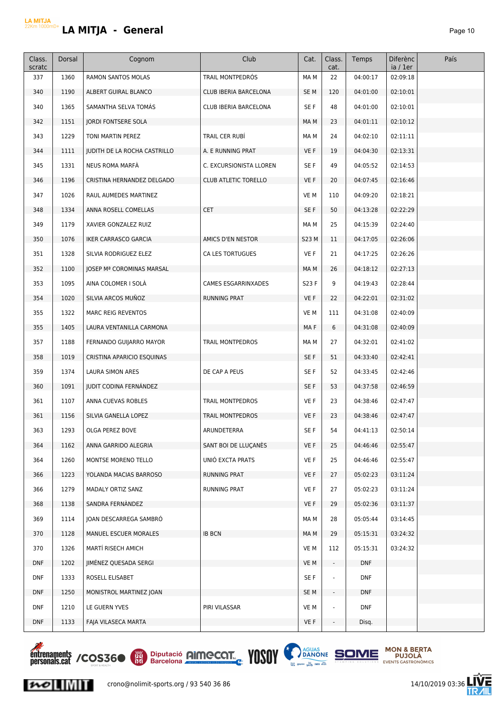| Class.<br>scratc | Dorsal | Cognom                        | Club                       | Cat.         | Class.<br>cat.           | Temps      | <b>Diferènc</b><br>ia / 1er | País |
|------------------|--------|-------------------------------|----------------------------|--------------|--------------------------|------------|-----------------------------|------|
| 337              | 1360   | <b>RAMON SANTOS MOLAS</b>     | TRAIL MONTPEDRÓS           | MA M         | 22                       | 04:00:17   | 02:09:18                    |      |
| 340              | 1190   | ALBERT GUIRAL BLANCO          | CLUB IBERIA BARCELONA      | SE M         | 120                      | 04:01:00   | 02:10:01                    |      |
| 340              | 1365   | SAMANTHA SELVA TOMAS          | CLUB IBERIA BARCELONA      | SE F         | 48                       | 04:01:00   | 02:10:01                    |      |
| 342              | 1151   | <b>JORDI FONTSERE SOLA</b>    |                            | MA M         | 23                       | 04:01:11   | 02:10:12                    |      |
| 343              | 1229   | TONI MARTIN PEREZ             | TRAIL CER RUBÍ             | MA M         | 24                       | 04:02:10   | 02:11:11                    |      |
| 344              | 1111   | JUDITH DE LA ROCHA CASTRILLO  | A. E RUNNING PRAT          | VE F         | 19                       | 04:04:30   | 02:13:31                    |      |
| 345              | 1331   | NEUS ROMA MARFÀ               | C. EXCURSIONISTA LLOREN    | SE F         | 49                       | 04:05:52   | 02:14:53                    |      |
| 346              | 1196   | CRISTINA HERNANDEZ DELGADO    | CLUB ATLETIC TORELLO       | VE F         | 20                       | 04:07:45   | 02:16:46                    |      |
| 347              | 1026   | RAUL AUMEDES MARTINEZ         |                            | VE M         | 110                      | 04:09:20   | 02:18:21                    |      |
| 348              | 1334   | ANNA ROSELL COMELLAS          | <b>CET</b>                 | SE F         | 50                       | 04:13:28   | 02:22:29                    |      |
| 349              | 1179   | XAVIER GONZALEZ RUIZ          |                            | MA M         | 25                       | 04:15:39   | 02:24:40                    |      |
| 350              | 1076   | <b>IKER CARRASCO GARCIA</b>   | AMICS D'EN NESTOR          | <b>S23 M</b> | 11                       | 04:17:05   | 02:26:06                    |      |
| 351              | 1328   | SILVIA RODRIGUEZ ELEZ         | CA LES TORTUGUES           | VE F         | 21                       | 04:17:25   | 02:26:26                    |      |
| 352              | 1100   | JOSEP Mª COROMINAS MARSAL     |                            | MA M         | 26                       | 04:18:12   | 02:27:13                    |      |
| 353              | 1095   | AINA COLOMER I SOLÀ           | <b>CAMES ESGARRINXADES</b> | S23 F        | 9                        | 04:19:43   | 02:28:44                    |      |
| 354              | 1020   | SILVIA ARCOS MUÑOZ            | <b>RUNNING PRAT</b>        | VE F         | 22                       | 04:22:01   | 02:31:02                    |      |
| 355              | 1322   | <b>MARC REIG REVENTOS</b>     |                            | VE M         | 111                      | 04:31:08   | 02:40:09                    |      |
| 355              | 1405   | LAURA VENTANILLA CARMONA      |                            | MA F         | 6                        | 04:31:08   | 02:40:09                    |      |
| 357              | 1188   | FERNANDO GUIJARRO MAYOR       | TRAIL MONTPEDROS           | MA M         | 27                       | 04:32:01   | 02:41:02                    |      |
| 358              | 1019   | CRISTINA APARICIO ESQUINAS    |                            | SE F         | 51                       | 04:33:40   | 02:42:41                    |      |
| 359              | 1374   | LAURA SIMON ARES              | DE CAP A PEUS              | SE F         | 52                       | 04:33:45   | 02:42:46                    |      |
| 360              | 1091   | <b>JUDIT CODINA FERNÁNDEZ</b> |                            | SE F         | 53                       | 04:37:58   | 02:46:59                    |      |
| 361              | 1107   | ANNA CUEVAS ROBLES            | TRAIL MONTPEDROS           | VE F         | 23                       | 04:38:46   | 02:47:47                    |      |
| 361              | 1156   | SILVIA GANELLA LOPEZ          | <b>TRAIL MONTPEDROS</b>    | VE F         | 23                       | 04:38:46   | 02:47:47                    |      |
| 363              | 1293   | OLGA PEREZ BOVE               | ARUNDETERRA                | SE F         | 54                       | 04:41:13   | 02:50:14                    |      |
| 364              | 1162   | ANNA GARRIDO ALEGRIA          | SANT BOI DE LLUÇANES       | VE F         | 25                       | 04:46:46   | 02:55:47                    |      |
| 364              | 1260   | MONTSE MORENO TELLO           | UNIÓ EXCTA PRATS           | VE F         | 25                       | 04:46:46   | 02:55:47                    |      |
| 366              | 1223   | YOLANDA MACIAS BARROSO        | <b>RUNNING PRAT</b>        | VE F         | 27                       | 05:02:23   | 03:11:24                    |      |
| 366              | 1279   | MADALY ORTIZ SANZ             | RUNNING PRAT               | VE F         | 27                       | 05:02:23   | 03:11:24                    |      |
| 368              | 1138   | SANDRA FERNANDEZ              |                            | VE F         | 29                       | 05:02:36   | 03:11:37                    |      |
| 369              | 1114   | JOAN DESCARREGA SAMBRÓ        |                            | MA M         | 28                       | 05:05:44   | 03:14:45                    |      |
| 370              | 1128   | MANUEL ESCUER MORALES         | <b>IB BCN</b>              | MA M         | 29                       | 05:15:31   | 03:24:32                    |      |
| 370              | 1326   | MARTI RISECH AMICH            |                            | VE M         | 112                      | 05:15:31   | 03:24:32                    |      |
| <b>DNF</b>       | 1202   | JIMÉNEZ QUESADA SERGI         |                            | VE M         | $\overline{\phantom{a}}$ | <b>DNF</b> |                             |      |
| <b>DNF</b>       | 1333   | ROSELL ELISABET               |                            | SE F         | ÷                        | <b>DNF</b> |                             |      |
| <b>DNF</b>       | 1250   | MONISTROL MARTINEZ JOAN       |                            | SE M         | $\overline{\phantom{a}}$ | <b>DNF</b> |                             |      |
| <b>DNF</b>       | 1210   | LE GUERN YVES                 | PIRI VILASSAR              | VE M         |                          | <b>DNF</b> |                             |      |
| <b>DNF</b>       | 1133   | FAJA VILASECA MARTA           |                            | VE F         | $\overline{\phantom{a}}$ | Disq.      |                             |      |



 $|{\boldsymbol{\mathcal{W}}}|$